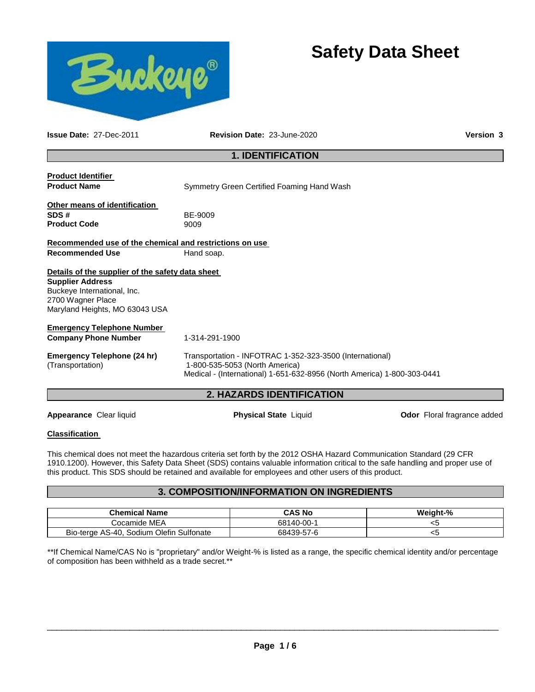

# **Safety Data Sheet**

**Issue Date:** 27-Dec-2011 **Revision Date:** 23-June-2020 **Version 3**

# **1. IDENTIFICATION**

**Product Identifier** 

**Product Name Symmetry Green Certified Foaming Hand Wash** 

| Other means of identification |              |
|-------------------------------|--------------|
| SDS#                          | <b>BE-90</b> |
| <b>Product Code</b>           | 9009         |

**SDS #** BE-9009

### **Recommended use of the chemical and restrictions on use Recommended Use Hand soap.**

#### **Details of the supplier of the safety data sheet Supplier Address**

Buckeye International, Inc. 2700 Wagner Place Maryland Heights, MO 63043 USA

# **Emergency Telephone Number**

**Company Phone Number** 1-314-291-1900

**Emergency Telephone (24 hr)**  (Transportation)

Transportation - INFOTRAC 1-352-323-3500 (International) 1-800-535-5053 (North America)

Medical - (International) 1-651-632-8956 (North America) 1-800-303-0441

# **2. HAZARDS IDENTIFICATION**

**Appearance** Clear liquid **Physical State** Liquid **Odor** Floral fragrance added

# **Classification**

This chemical does not meet the hazardous criteria set forth by the 2012 OSHA Hazard Communication Standard (29 CFR 1910.1200). However, this Safety Data Sheet (SDS) contains valuable information critical to the safe handling and proper use of this product. This SDS should be retained and available for employees and other users of this product.

# **3. COMPOSITION/INFORMATION ON INGREDIENTS**

| <b>Chemical Name</b>                     | <b>CAS No</b> | Weight-% |
|------------------------------------------|---------------|----------|
| Cocamide MEA                             | 68140-00-1    |          |
| Bio-terge AS-40, Sodium Olefin Sulfonate | 68439-57-6    | ເວ       |

\*\*If Chemical Name/CAS No is "proprietary" and/or Weight-% is listed as a range, the specific chemical identity and/or percentage of composition has been withheld as a trade secret.\*\*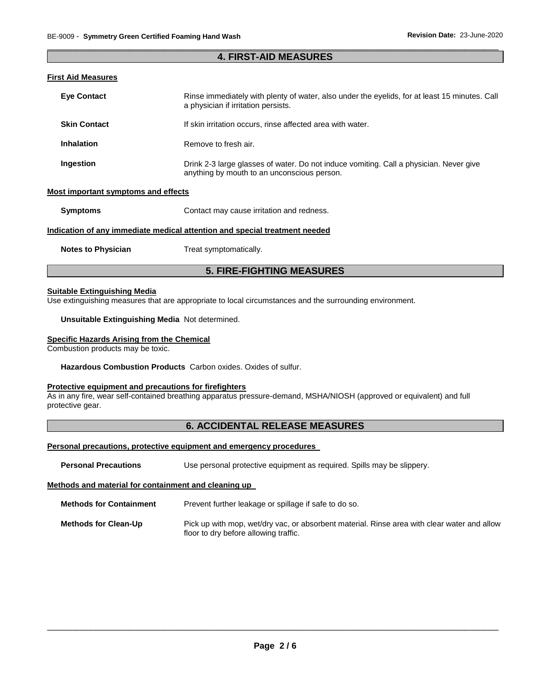#### \_\_\_\_\_\_\_\_\_\_\_\_\_\_\_\_\_\_\_\_\_\_\_\_\_\_\_\_\_\_\_\_\_\_\_\_\_\_\_\_\_\_\_\_\_\_\_\_\_\_\_\_\_\_\_\_\_\_\_\_\_\_\_\_\_\_\_\_\_\_\_\_\_\_\_\_\_\_\_\_\_\_\_\_\_\_\_\_\_\_\_\_\_ **4. FIRST-AID MEASURES**

# **First Aid Measures**

| <b>Eve Contact</b>                  | Rinse immediately with plenty of water, also under the eyelids, for at least 15 minutes. Call<br>a physician if irritation persists.  |  |
|-------------------------------------|---------------------------------------------------------------------------------------------------------------------------------------|--|
| <b>Skin Contact</b>                 | If skin irritation occurs, rinse affected area with water.                                                                            |  |
| Inhalation                          | Remove to fresh air.                                                                                                                  |  |
| Ingestion                           | Drink 2-3 large glasses of water. Do not induce vomiting. Call a physician. Never give<br>anything by mouth to an unconscious person. |  |
| Most important symptoms and effects |                                                                                                                                       |  |
| <b>Symptoms</b>                     | Contact may cause irritation and redness.                                                                                             |  |

### **Indication of any immediate medical attention and special treatment needed**

**Notes to Physician Treat symptomatically.** 

# **5. FIRE-FIGHTING MEASURES**

# **Suitable Extinguishing Media**

Use extinguishing measures that are appropriate to local circumstances and the surrounding environment.

#### **Unsuitable Extinguishing Media** Not determined.

#### **Specific Hazards Arising from the Chemical**

Combustion products may be toxic.

#### **Hazardous Combustion Products** Carbon oxides. Oxides of sulfur.

### **Protective equipment and precautions for firefighters**

As in any fire, wear self-contained breathing apparatus pressure-demand, MSHA/NIOSH (approved or equivalent) and full protective gear.

# **6. ACCIDENTAL RELEASE MEASURES**

#### **Personal precautions, protective equipment and emergency procedures**

| <b>Personal Precautions</b> | Use personal protective equipment as required. Spills may be slippery. |  |  |  |  |  |
|-----------------------------|------------------------------------------------------------------------|--|--|--|--|--|
|-----------------------------|------------------------------------------------------------------------|--|--|--|--|--|

#### **Methods and material for containment and cleaning up**

| <b>Methods for Containment</b> | Prevent further leakage or spillage if safe to do so.                                                                                |
|--------------------------------|--------------------------------------------------------------------------------------------------------------------------------------|
| <b>Methods for Clean-Up</b>    | Pick up with mop, wet/dry vac, or absorbent material. Rinse area with clear water and allow<br>floor to dry before allowing traffic. |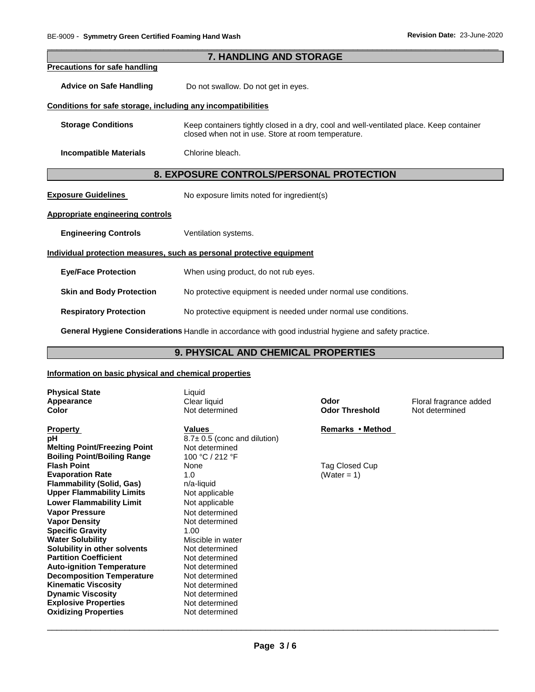|                                                              | <b>7. HANDLING AND STORAGE</b>                                                                                                                |  |
|--------------------------------------------------------------|-----------------------------------------------------------------------------------------------------------------------------------------------|--|
| <b>Precautions for safe handling</b>                         |                                                                                                                                               |  |
| <b>Advice on Safe Handling</b>                               | Do not swallow. Do not get in eyes.                                                                                                           |  |
| Conditions for safe storage, including any incompatibilities |                                                                                                                                               |  |
| <b>Storage Conditions</b>                                    | Keep containers tightly closed in a dry, cool and well-ventilated place. Keep container<br>closed when not in use. Store at room temperature. |  |
| <b>Incompatible Materials</b>                                | Chlorine bleach.                                                                                                                              |  |
| 8. EXPOSURE CONTROLS/PERSONAL PROTECTION                     |                                                                                                                                               |  |
| <b>Exposure Guidelines</b>                                   | No exposure limits noted for ingredient(s)                                                                                                    |  |
| <b>Appropriate engineering controls</b>                      |                                                                                                                                               |  |
| <b>Engineering Controls</b>                                  | Ventilation systems.                                                                                                                          |  |
|                                                              | Individual protection measures, such as personal protective equipment                                                                         |  |
| <b>Eye/Face Protection</b>                                   | When using product, do not rub eyes.                                                                                                          |  |
| <b>Skin and Body Protection</b>                              | No protective equipment is needed under normal use conditions.                                                                                |  |
| <b>Respiratory Protection</b>                                | No protective equipment is needed under normal use conditions.                                                                                |  |
|                                                              |                                                                                                                                               |  |

\_\_\_\_\_\_\_\_\_\_\_\_\_\_\_\_\_\_\_\_\_\_\_\_\_\_\_\_\_\_\_\_\_\_\_\_\_\_\_\_\_\_\_\_\_\_\_\_\_\_\_\_\_\_\_\_\_\_\_\_\_\_\_\_\_\_\_\_\_\_\_\_\_\_\_\_\_\_\_\_\_\_\_\_\_\_\_\_\_\_\_\_\_

**General Hygiene Considerations** Handle in accordance with good industrial hygiene and safety practice.

# **9. PHYSICAL AND CHEMICAL PROPERTIES**

#### **Information on basic physical and chemical properties**

| <b>Physical State</b> |  |
|-----------------------|--|
| Appearance            |  |
| Color                 |  |

**Property CONSERVING INCREMENT CONSERVANCE IN A Values Remarks • Method pH**  $8.7 \pm 0.5$  (conc and dilution) **Melting Point/Freezing Point** Not determined<br> **Boiling Point/Boiling Range** 100 °C / 212 °F **Boiling Point/Boiling Range Flash Point Evaporation Rate 1.0 1.0 (Water = 1) (Water = 1) Flammability (Solid, Gas) n/a-liquid**<br> **Upper Flammability Limits** Not applicable **Upper Flammability Limits Lower Flammability Limit** Not applicable **Vapor Pressure**  Not determined **Vapor Density Not determined Specific Gravity** 1.00 **Water Solubility Miscible in water Solubility in other solvents** Not determined **Partition Coefficient Not determined Auto-ignition Temperature 618 Mot determined Decomposition Temperature 8 Not determined Decomposition Temperature Kinematic Viscosity Not determined Dynamic Viscosity**<br> **Explosive Properties**<br>
Not determined **Explosive Properties Oxidizing Properties** Not determined

Liquid

**Flag Closed Cup** 

**Clear liquid Clear liquid Clear in Clear liquid <b>Clear in Clear Clear Clear is a** Clear **Clear Threshold Clear Threshold Not determined Color** Not determined **Odor Threshold** Not determined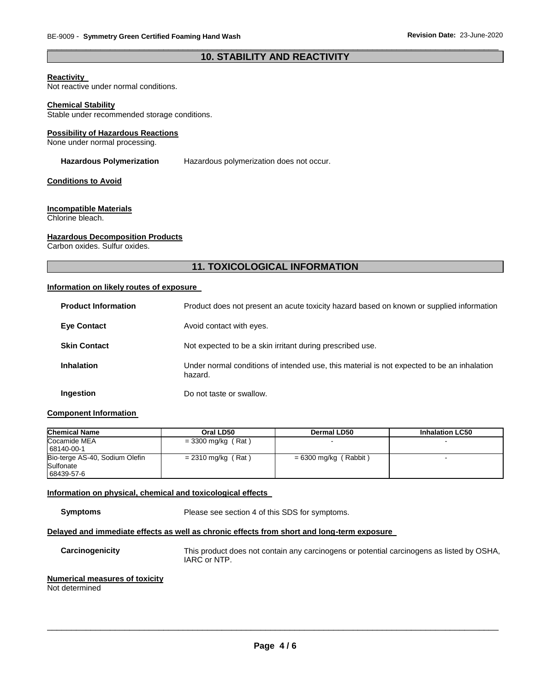# \_\_\_\_\_\_\_\_\_\_\_\_\_\_\_\_\_\_\_\_\_\_\_\_\_\_\_\_\_\_\_\_\_\_\_\_\_\_\_\_\_\_\_\_\_\_\_\_\_\_\_\_\_\_\_\_\_\_\_\_\_\_\_\_\_\_\_\_\_\_\_\_\_\_\_\_\_\_\_\_\_\_\_\_\_\_\_\_\_\_\_\_\_ **10. STABILITY AND REACTIVITY**

#### **Reactivity**

Not reactive under normal conditions.

#### **Chemical Stability**

Stable under recommended storage conditions.

#### **Possibility of Hazardous Reactions**

None under normal processing.

#### **Hazardous Polymerization** Hazardous polymerization does not occur.

#### **Conditions to Avoid**

#### **Incompatible Materials**

Chlorine bleach.

#### **Hazardous Decomposition Products**

Carbon oxides. Sulfur oxides.

# **11. TOXICOLOGICAL INFORMATION**

# **Information on likely routes of exposure**

| <b>Product Information</b> | Product does not present an acute toxicity hazard based on known or supplied information              |
|----------------------------|-------------------------------------------------------------------------------------------------------|
| <b>Eye Contact</b>         | Avoid contact with eyes.                                                                              |
| <b>Skin Contact</b>        | Not expected to be a skin irritant during prescribed use.                                             |
| <b>Inhalation</b>          | Under normal conditions of intended use, this material is not expected to be an inhalation<br>hazard. |
| Ingestion                  | Do not taste or swallow.                                                                              |

#### **Component Information**

| <b>Chemical Name</b>           | Oral LD50            | Dermal LD50             | <b>Inhalation LC50</b> |
|--------------------------------|----------------------|-------------------------|------------------------|
| Cocamide MEA                   | $= 3300$ mg/kg (Rat) |                         |                        |
| 68140-00-1                     |                      |                         |                        |
| Bio-terge AS-40, Sodium Olefin | $= 2310$ mg/kg (Rat) | $= 6300$ mg/kg (Rabbit) |                        |
| Sulfonate                      |                      |                         |                        |
| 68439-57-6                     |                      |                         |                        |

#### **Information on physical, chemical and toxicological effects**

**Symptoms** Please see section 4 of this SDS for symptoms.

#### **Delayed and immediate effects as well as chronic effects from short and long-term exposure**

**Carcinogenicity** This product does not contain any carcinogens or potential carcinogens as listed by OSHA, IARC or NTP.

#### **Numerical measures of toxicity**

Not determined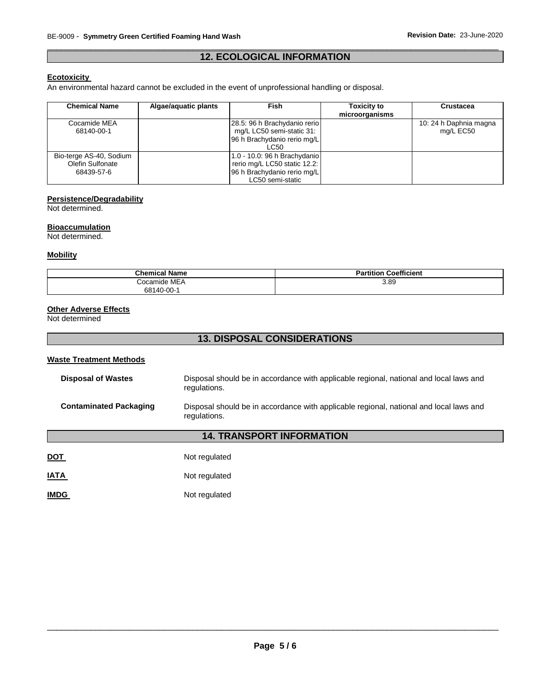# \_\_\_\_\_\_\_\_\_\_\_\_\_\_\_\_\_\_\_\_\_\_\_\_\_\_\_\_\_\_\_\_\_\_\_\_\_\_\_\_\_\_\_\_\_\_\_\_\_\_\_\_\_\_\_\_\_\_\_\_\_\_\_\_\_\_\_\_\_\_\_\_\_\_\_\_\_\_\_\_\_\_\_\_\_\_\_\_\_\_\_\_\_ **12. ECOLOGICAL INFORMATION**

# **Ecotoxicity**

An environmental hazard cannot be excluded in the event of unprofessional handling or disposal.

| <b>Chemical Name</b>    | Algae/aguatic plants | Fish                         | <b>Toxicity to</b><br>microorganisms | <b>Crustacea</b>       |
|-------------------------|----------------------|------------------------------|--------------------------------------|------------------------|
| Cocamide MEA            |                      | 28.5: 96 h Brachydanio rerio |                                      | 10: 24 h Daphnia magna |
| 68140-00-1              |                      | mg/L LC50 semi-static 31:    |                                      | mg/L EC50              |
|                         |                      | 96 h Brachydanio rerio mg/L  |                                      |                        |
|                         |                      | LC50                         |                                      |                        |
| Bio-terge AS-40, Sodium |                      | 1.0 - 10.0: 96 h Brachydanio |                                      |                        |
| Olefin Sulfonate        |                      | rerio mg/L LC50 static 12.2: |                                      |                        |
| 68439-57-6              |                      | 96 h Brachydanio rerio mg/L  |                                      |                        |
|                         |                      | LC50 semi-static             |                                      |                        |

# **Persistence/Degradability**

Not determined.

#### **Bioaccumulation**

Not determined.

#### **Mobility**

| <b>Chemical Name</b> | <b>Partition Coefficient</b> |
|----------------------|------------------------------|
| Cocamide MEA         | 3.89                         |
| 68140-00-1           |                              |

# **Other Adverse Effects**

Not determined

# **13. DISPOSAL CONSIDERATIONS**

# **Waste Treatment Methods**

| <b>Disposal of Wastes</b>     | Disposal should be in accordance with applicable regional, national and local laws and<br>regulations. |
|-------------------------------|--------------------------------------------------------------------------------------------------------|
| <b>Contaminated Packaging</b> | Disposal should be in accordance with applicable regional, national and local laws and<br>regulations. |

# **14. TRANSPORT INFORMATION**

| <u>DOT</u>  | Not regulated |
|-------------|---------------|
| <b>IATA</b> | Not regulated |
| <b>IMDG</b> | Not regulated |